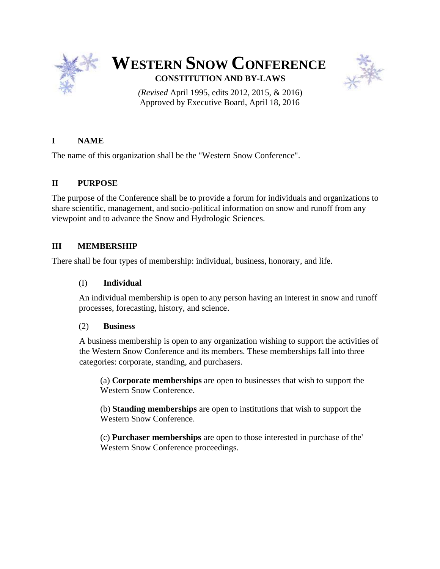

# **WESTERN SNOW CONFERENCE CONSTITUTION AND BY-LAWS**



*(Revised* April 1995, edits 2012, 2015, & 2016) Approved by Executive Board, April 18, 2016

# **I NAME**

The name of this organization shall be the "Western Snow Conference".

# **II PURPOSE**

The purpose of the Conference shall be to provide a forum for individuals and organizations to share scientific, management, and socio-political information on snow and runoff from any viewpoint and to advance the Snow and Hydrologic Sciences.

# **III MEMBERSHIP**

There shall be four types of membership: individual, business, honorary, and life.

# (I) **Individual**

An individual membership is open to any person having an interest in snow and runoff processes, forecasting, history, and science.

# (2) **Business**

A business membership is open to any organization wishing to support the activities of the Western Snow Conference and its members. These memberships fall into three categories: corporate, standing, and purchasers.

(a) **Corporate memberships** are open to businesses that wish to support the Western Snow Conference.

(b) **Standing memberships** are open to institutions that wish to support the Western Snow Conference.

(c) **Purchaser memberships** are open to those interested in purchase of the' Western Snow Conference proceedings.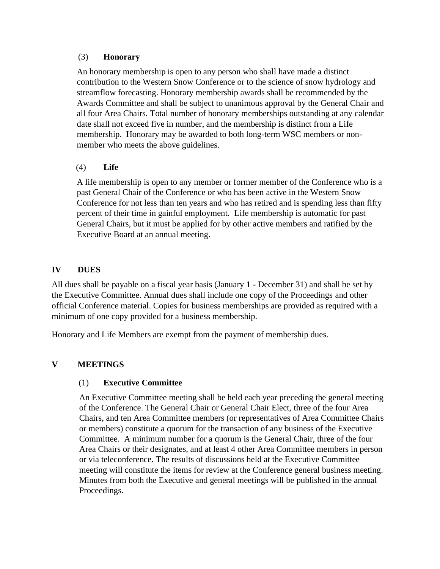## (3) **Honorary**

An honorary membership is open to any person who shall have made a distinct contribution to the Western Snow Conference or to the science of snow hydrology and streamflow forecasting. Honorary membership awards shall be recommended by the Awards Committee and shall be subject to unanimous approval by the General Chair and all four Area Chairs. Total number of honorary memberships outstanding at any calendar date shall not exceed five in number, and the membership is distinct from a Life membership. Honorary may be awarded to both long-term WSC members or nonmember who meets the above guidelines.

# (4) **Life**

A life membership is open to any member or former member of the Conference who is a past General Chair of the Conference or who has been active in the Western Snow Conference for not less than ten years and who has retired and is spending less than fifty percent of their time in gainful employment. Life membership is automatic for past General Chairs, but it must be applied for by other active members and ratified by the Executive Board at an annual meeting.

# **IV DUES**

All dues shall be payable on a fiscal year basis (January 1 - December 31) and shall be set by the Executive Committee. Annual dues shall include one copy of the Proceedings and other official Conference material. Copies for business memberships are provided as required with a minimum of one copy provided for a business membership.

Honorary and Life Members are exempt from the payment of membership dues.

# **V MEETINGS**

#### (1) **Executive Committee**

An Executive Committee meeting shall be held each year preceding the general meeting of the Conference. The General Chair or General Chair Elect, three of the four Area Chairs, and ten Area Committee members (or representatives of Area Committee Chairs or members) constitute a quorum for the transaction of any business of the Executive Committee. A minimum number for a quorum is the General Chair, three of the four Area Chairs or their designates, and at least 4 other Area Committee members in person or via teleconference. The results of discussions held at the Executive Committee meeting will constitute the items for review at the Conference general business meeting. Minutes from both the Executive and general meetings will be published in the annual Proceedings.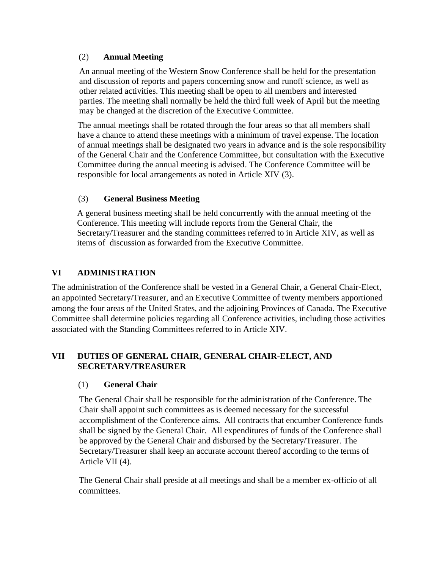# (2) **Annual Meeting**

An annual meeting of the Western Snow Conference shall be held for the presentation and discussion of reports and papers concerning snow and runoff science, as well as other related activities. This meeting shall be open to all members and interested parties. The meeting shall normally be held the third full week of April but the meeting may be changed at the discretion of the Executive Committee.

The annual meetings shall be rotated through the four areas so that all members shall have a chance to attend these meetings with a minimum of travel expense. The location of annual meetings shall be designated two years in advance and is the sole responsibility of the General Chair and the Conference Committee, but consultation with the Executive Committee during the annual meeting is advised. The Conference Committee will be responsible for local arrangements as noted in Article XIV (3).

# (3) **General Business Meeting**

A general business meeting shall be held concurrently with the annual meeting of the Conference. This meeting will include reports from the General Chair, the Secretary/Treasurer and the standing committees referred to in Article XIV, as well as items of discussion as forwarded from the Executive Committee.

# **VI ADMINISTRATION**

The administration of the Conference shall be vested in a General Chair, a General Chair-Elect, an appointed Secretary/Treasurer, and an Executive Committee of twenty members apportioned among the four areas of the United States, and the adjoining Provinces of Canada. The Executive Committee shall determine policies regarding all Conference activities, including those activities associated with the Standing Committees referred to in Article XIV.

# **VII DUTIES OF GENERAL CHAIR, GENERAL CHAIR-ELECT, AND SECRETARY/TREASURER**

# (1) **General Chair**

The General Chair shall be responsible for the administration of the Conference. The Chair shall appoint such committees as is deemed necessary for the successful accomplishment of the Conference aims. All contracts that encumber Conference funds shall be signed by the General Chair. All expenditures of funds of the Conference shall be approved by the General Chair and disbursed by the Secretary/Treasurer. The Secretary/Treasurer shall keep an accurate account thereof according to the terms of Article VII (4).

The General Chair shall preside at all meetings and shall be a member ex-officio of all committees.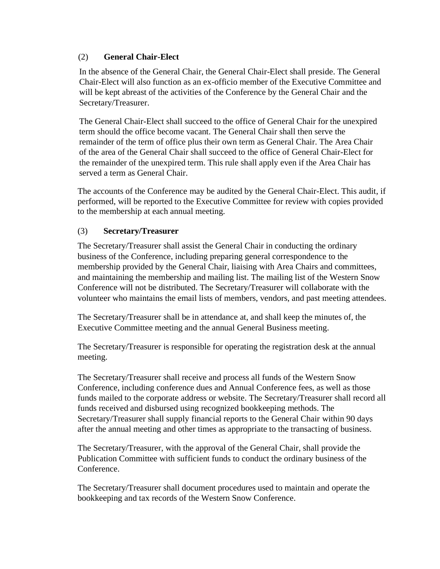# (2) **General Chair-Elect**

In the absence of the General Chair, the General Chair-Elect shall preside. The General Chair-Elect will also function as an ex-officio member of the Executive Committee and will be kept abreast of the activities of the Conference by the General Chair and the Secretary/Treasurer.

The General Chair-Elect shall succeed to the office of General Chair for the unexpired term should the office become vacant. The General Chair shall then serve the remainder of the term of office plus their own term as General Chair. The Area Chair of the area of the General Chair shall succeed to the office of General Chair-Elect for the remainder of the unexpired term. This rule shall apply even if the Area Chair has served a term as General Chair.

The accounts of the Conference may be audited by the General Chair-Elect. This audit, if performed, will be reported to the Executive Committee for review with copies provided to the membership at each annual meeting.

# (3) **Secretary/Treasurer**

The Secretary/Treasurer shall assist the General Chair in conducting the ordinary business of the Conference, including preparing general correspondence to the membership provided by the General Chair, liaising with Area Chairs and committees, and maintaining the membership and mailing list. The mailing list of the Western Snow Conference will not be distributed. The Secretary/Treasurer will collaborate with the volunteer who maintains the email lists of members, vendors, and past meeting attendees.

The Secretary/Treasurer shall be in attendance at, and shall keep the minutes of, the Executive Committee meeting and the annual General Business meeting.

The Secretary/Treasurer is responsible for operating the registration desk at the annual meeting.

The Secretary/Treasurer shall receive and process all funds of the Western Snow Conference, including conference dues and Annual Conference fees, as well as those funds mailed to the corporate address or website. The Secretary/Treasurer shall record all funds received and disbursed using recognized bookkeeping methods. The Secretary/Treasurer shall supply financial reports to the General Chair within 90 days after the annual meeting and other times as appropriate to the transacting of business.

The Secretary/Treasurer, with the approval of the General Chair, shall provide the Publication Committee with sufficient funds to conduct the ordinary business of the Conference.

The Secretary/Treasurer shall document procedures used to maintain and operate the bookkeeping and tax records of the Western Snow Conference.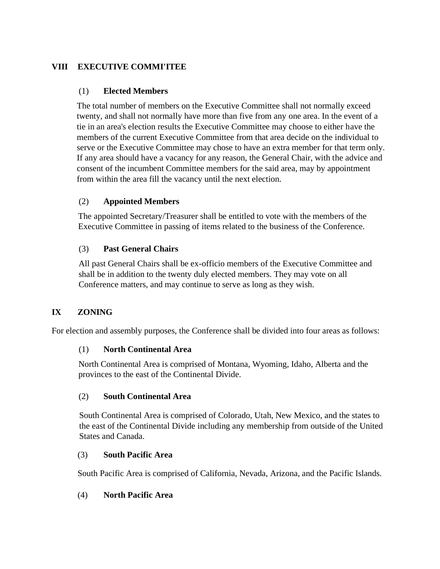# **VIII EXECUTIVE COMMI'ITEE**

## (1) **Elected Members**

The total number of members on the Executive Committee shall not normally exceed twenty, and shall not normally have more than five from any one area. In the event of a tie in an area's election results the Executive Committee may choose to either have the members of the current Executive Committee from that area decide on the individual to serve or the Executive Committee may chose to have an extra member for that term only. If any area should have a vacancy for any reason, the General Chair, with the advice and consent of the incumbent Committee members for the said area, may by appointment from within the area fill the vacancy until the next election.

# (2) **Appointed Members**

The appointed Secretary/Treasurer shall be entitled to vote with the members of the Executive Committee in passing of items related to the business of the Conference.

# (3) **Past General Chairs**

All past General Chairs shall be ex-officio members of the Executive Committee and shall be in addition to the twenty duly elected members. They may vote on all Conference matters, and may continue to serve as long as they wish.

# **IX ZONING**

For election and assembly purposes, the Conference shall be divided into four areas as follows:

# (1) **North Continental Area**

North Continental Area is comprised of Montana, Wyoming, Idaho, Alberta and the provinces to the east of the Continental Divide.

#### (2) **South Continental Area**

South Continental Area is comprised of Colorado, Utah, New Mexico, and the states to the east of the Continental Divide including any membership from outside of the United States and Canada.

## (3) **South Pacific Area**

South Pacific Area is comprised of California, Nevada, Arizona, and the Pacific Islands.

#### (4) **North Pacific Area**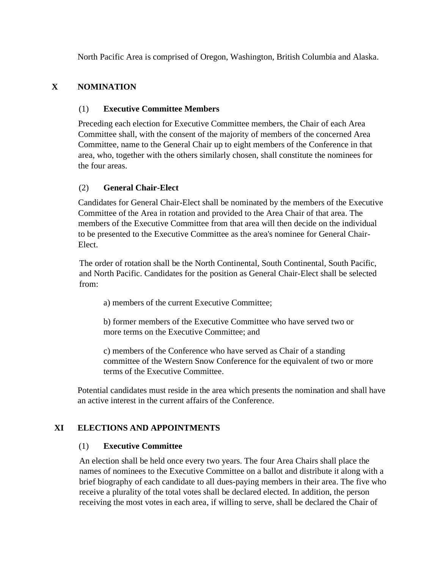North Pacific Area is comprised of Oregon, Washington, British Columbia and Alaska.

# **X NOMINATION**

# (1) **Executive Committee Members**

Preceding each election for Executive Committee members, the Chair of each Area Committee shall, with the consent of the majority of members of the concerned Area Committee, name to the General Chair up to eight members of the Conference in that area, who, together with the others similarly chosen, shall constitute the nominees for the four areas.

# (2) **General Chair-Elect**

Candidates for General Chair-Elect shall be nominated by the members of the Executive Committee of the Area in rotation and provided to the Area Chair of that area. The members of the Executive Committee from that area will then decide on the individual to be presented to the Executive Committee as the area's nominee for General Chair-Elect.

The order of rotation shall be the North Continental, South Continental, South Pacific, and North Pacific. Candidates for the position as General Chair-Elect shall be selected from:

a) members of the current Executive Committee;

b) former members of the Executive Committee who have served two or more terms on the Executive Committee; and

c) members of the Conference who have served as Chair of a standing committee of the Western Snow Conference for the equivalent of two or more terms of the Executive Committee.

Potential candidates must reside in the area which presents the nomination and shall have an active interest in the current affairs of the Conference.

# **XI ELECTIONS AND APPOINTMENTS**

# (1) **Executive Committee**

An election shall be held once every two years. The four Area Chairs shall place the names of nominees to the Executive Committee on a ballot and distribute it along with a brief biography of each candidate to all dues-paying members in their area. The five who receive a plurality of the total votes shall be declared elected. In addition, the person receiving the most votes in each area, if willing to serve, shall be declared the Chair of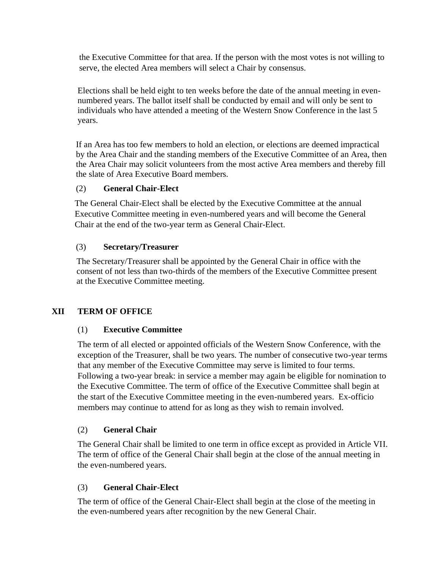the Executive Committee for that area. If the person with the most votes is not willing to serve, the elected Area members will select a Chair by consensus.

Elections shall be held eight to ten weeks before the date of the annual meeting in evennumbered years. The ballot itself shall be conducted by email and will only be sent to individuals who have attended a meeting of the Western Snow Conference in the last 5 years.

If an Area has too few members to hold an election, or elections are deemed impractical by the Area Chair and the standing members of the Executive Committee of an Area, then the Area Chair may solicit volunteers from the most active Area members and thereby fill the slate of Area Executive Board members.

# (2) **General Chair-Elect**

The General Chair-Elect shall be elected by the Executive Committee at the annual Executive Committee meeting in even-numbered years and will become the General Chair at the end of the two-year term as General Chair-Elect.

# (3) **Secretary/Treasurer**

The Secretary/Treasurer shall be appointed by the General Chair in office with the consent of not less than two-thirds of the members of the Executive Committee present at the Executive Committee meeting.

# **XII TERM OF OFFICE**

# (1) **Executive Committee**

The term of all elected or appointed officials of the Western Snow Conference, with the exception of the Treasurer, shall be two years. The number of consecutive two-year terms that any member of the Executive Committee may serve is limited to four terms. Following a two-year break: in service a member may again be eligible for nomination to the Executive Committee. The term of office of the Executive Committee shall begin at the start of the Executive Committee meeting in the even-numbered years. Ex-officio members may continue to attend for as long as they wish to remain involved.

# (2) **General Chair**

The General Chair shall be limited to one term in office except as provided in Article VII. The term of office of the General Chair shall begin at the close of the annual meeting in the even-numbered years.

# (3) **General Chair-Elect**

The term of office of the General Chair-Elect shall begin at the close of the meeting in the even-numbered years after recognition by the new General Chair.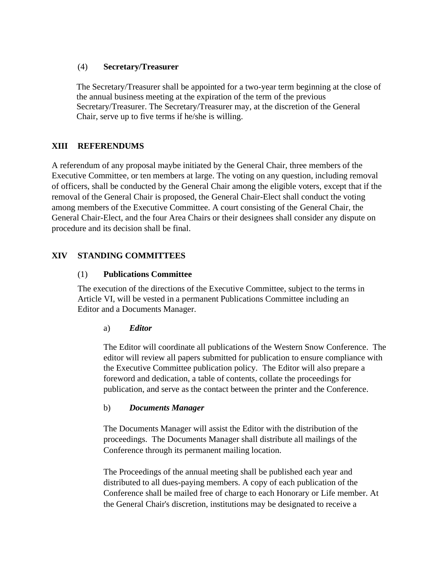## (4) **Secretary/Treasurer**

The Secretary/Treasurer shall be appointed for a two-year term beginning at the close of the annual business meeting at the expiration of the term of the previous Secretary/Treasurer. The Secretary/Treasurer may, at the discretion of the General Chair, serve up to five terms if he/she is willing.

# **XIII REFERENDUMS**

A referendum of any proposal maybe initiated by the General Chair, three members of the Executive Committee, or ten members at large. The voting on any question, including removal of officers, shall be conducted by the General Chair among the eligible voters, except that if the removal of the General Chair is proposed, the General Chair-Elect shall conduct the voting among members of the Executive Committee. A court consisting of the General Chair, the General Chair-Elect, and the four Area Chairs or their designees shall consider any dispute on procedure and its decision shall be final.

# **XIV STANDING COMMITTEES**

# (1) **Publications Committee**

The execution of the directions of the Executive Committee, subject to the terms in Article VI, will be vested in a permanent Publications Committee including an Editor and a Documents Manager.

# a) *Editor*

The Editor will coordinate all publications of the Western Snow Conference. The editor will review all papers submitted for publication to ensure compliance with the Executive Committee publication policy. The Editor will also prepare a foreword and dedication, a table of contents, collate the proceedings for publication, and serve as the contact between the printer and the Conference.

#### b) *Documents Manager*

The Documents Manager will assist the Editor with the distribution of the proceedings. The Documents Manager shall distribute all mailings of the Conference through its permanent mailing location.

The Proceedings of the annual meeting shall be published each year and distributed to all dues-paying members. A copy of each publication of the Conference shall be mailed free of charge to each Honorary or Life member. At the General Chair's discretion, institutions may be designated to receive a